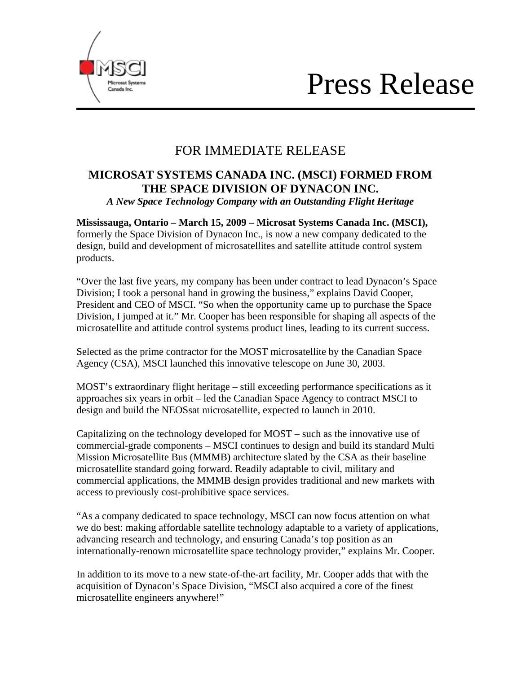



## FOR IMMEDIATE RELEASE

### **MICROSAT SYSTEMS CANADA INC. (MSCI) FORMED FROM THE SPACE DIVISION OF DYNACON INC.**  *A New Space Technology Company with an Outstanding Flight Heritage*

**Mississauga, Ontario – March 15, 2009 – Microsat Systems Canada Inc. (MSCI),**  formerly the Space Division of Dynacon Inc., is now a new company dedicated to the design, build and development of microsatellites and satellite attitude control system products.

"Over the last five years, my company has been under contract to lead Dynacon's Space Division; I took a personal hand in growing the business," explains David Cooper, President and CEO of MSCI. "So when the opportunity came up to purchase the Space Division, I jumped at it." Mr. Cooper has been responsible for shaping all aspects of the microsatellite and attitude control systems product lines, leading to its current success.

Selected as the prime contractor for the MOST microsatellite by the Canadian Space Agency (CSA), MSCI launched this innovative telescope on June 30, 2003.

MOST's extraordinary flight heritage – still exceeding performance specifications as it approaches six years in orbit – led the Canadian Space Agency to contract MSCI to design and build the NEOSsat microsatellite, expected to launch in 2010.

Capitalizing on the technology developed for MOST – such as the innovative use of commercial-grade components – MSCI continues to design and build its standard Multi Mission Microsatellite Bus (MMMB) architecture slated by the CSA as their baseline microsatellite standard going forward. Readily adaptable to civil, military and commercial applications, the MMMB design provides traditional and new markets with access to previously cost-prohibitive space services.

"As a company dedicated to space technology, MSCI can now focus attention on what we do best: making affordable satellite technology adaptable to a variety of applications, advancing research and technology, and ensuring Canada's top position as an internationally-renown microsatellite space technology provider," explains Mr. Cooper.

In addition to its move to a new state-of-the-art facility, Mr. Cooper adds that with the acquisition of Dynacon's Space Division, "MSCI also acquired a core of the finest microsatellite engineers anywhere!"